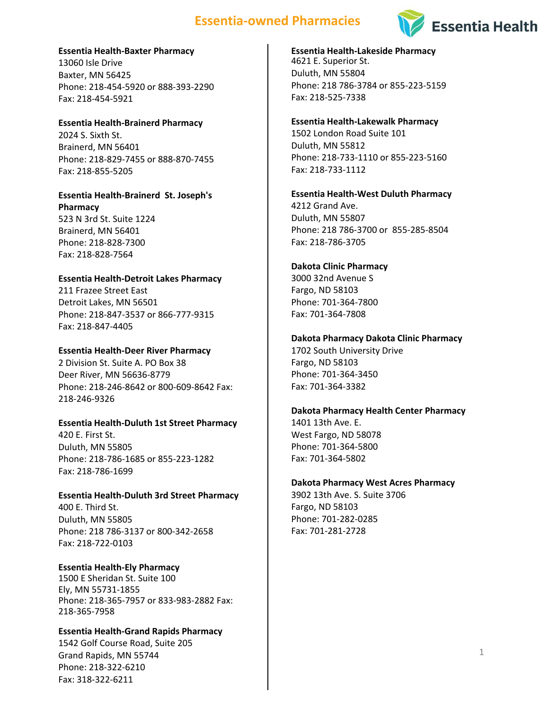# **Essentia-owned Pharmacies**



## **Essentia Health-Baxter Pharmacy**

13060 Isle Drive Baxter, MN 56425 Phone: 218-454-5920 or 888-393-2290 Fax: 218-454-5921

**Essentia Health-Brainerd Pharmacy** 2024 S. Sixth St. Brainerd, MN 56401 Phone: 218-829-7455 or 888-870-7455 Fax: 218-855-5205

## **Essentia Health-Brainerd St. Joseph's Pharmacy** 523 N 3rd St. Suite 1224

Brainerd, MN 56401 Phone: 218-828-7300 Fax: 218-828-7564

## **Essentia Health-Detroit Lakes Pharmacy**

211 Frazee Street East Detroit Lakes, MN 56501 Phone: 218-847-3537 or 866-777-9315 Fax: 218-847-4405

## **Essentia Health-Deer River Pharmacy**

2 Division St. Suite A. PO Box 38 Deer River, MN 56636-8779 Phone: 218-246-8642 or 800-609-8642 Fax: 218-246-9326

## **Essentia Health-Duluth 1st Street Pharmacy**

420 E. First St. Duluth, MN 55805 Phone: 218-786-1685 or 855-223-1282 Fax: 218-786-1699

# **Essentia Health-Duluth 3rd Street Pharmacy**

400 E. Third St. Duluth, MN 55805 Phone: 218 786-3137 or 800-342-2658 Fax: 218-722-0103

# **Essentia Health-Ely Pharmacy**

1500 E Sheridan St. Suite 100 Ely, MN 55731-1855 Phone: 218-365-7957 or 833-983-2882 Fax: 218-365-7958

## **Essentia Health-Grand Rapids Pharmacy**

1542 Golf Course Road, Suite 205 Grand Rapids, MN 55744 Phone: 218-322-6210 Fax: 318-322-6211

# **Essentia Health-Lakeside Pharmacy** 4621 E. Superior St. Duluth, MN 55804

Phone: 218 786-3784 or 855-223-5159 Fax: 218-525-7338

## **Essentia Health-Lakewalk Pharmacy**

1502 London Road Suite 101 Duluth, MN 55812 Phone: 218-733-1110 or 855-223-5160 Fax: 218-733-1112

# **Essentia Health-West Duluth Pharmacy**

4212 Grand Ave. Duluth, MN 55807 Phone: 218 786-3700 or 855-285-8504 Fax: 218-786-3705

## **Dakota Clinic Pharmacy**

3000 32nd Avenue S Fargo, ND 58103 Phone: 701-364-7800 Fax: 701-364-7808

## **Dakota Pharmacy Dakota Clinic Pharmacy**

1702 South University Drive Fargo, ND 58103 Phone: 701-364-3450 Fax: 701-364-3382

## **Dakota Pharmacy Health Center Pharmacy**

1401 13th Ave. E. West Fargo, ND 58078 Phone: 701-364-5800 Fax: 701-364-5802

## **Dakota Pharmacy West Acres Pharmacy**

3902 13th Ave. S. Suite 3706 Fargo, ND 58103 Phone: 701-282-0285 Fax: 701-281-2728